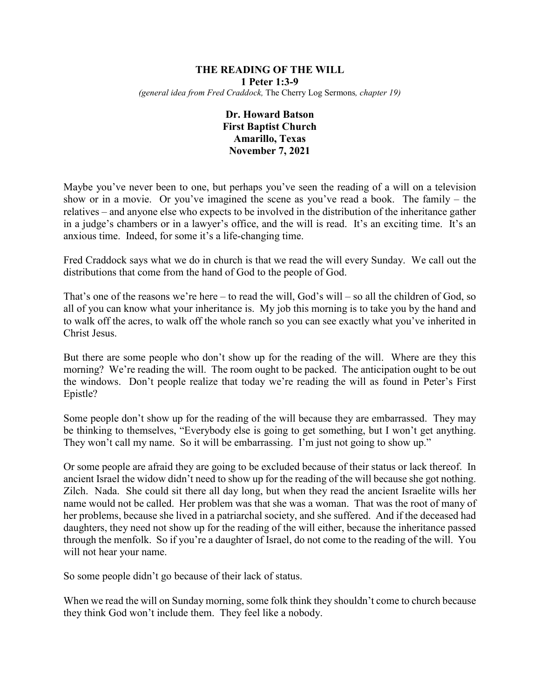#### **THE READING OF THE WILL 1 Peter 1:3-9** *(general idea from Fred Craddock,* The Cherry Log Sermons*, chapter 19)*

# **Dr. Howard Batson First Baptist Church Amarillo, Texas November 7, 2021**

Maybe you've never been to one, but perhaps you've seen the reading of a will on a television show or in a movie. Or you've imagined the scene as you've read a book. The family – the relatives – and anyone else who expects to be involved in the distribution of the inheritance gather in a judge's chambers or in a lawyer's office, and the will is read. It's an exciting time. It's an anxious time. Indeed, for some it's a life-changing time.

Fred Craddock says what we do in church is that we read the will every Sunday. We call out the distributions that come from the hand of God to the people of God.

That's one of the reasons we're here – to read the will, God's will – so all the children of God, so all of you can know what your inheritance is. My job this morning is to take you by the hand and to walk off the acres, to walk off the whole ranch so you can see exactly what you've inherited in Christ Jesus.

But there are some people who don't show up for the reading of the will. Where are they this morning? We're reading the will. The room ought to be packed. The anticipation ought to be out the windows. Don't people realize that today we're reading the will as found in Peter's First Epistle?

Some people don't show up for the reading of the will because they are embarrassed. They may be thinking to themselves, "Everybody else is going to get something, but I won't get anything. They won't call my name. So it will be embarrassing. I'm just not going to show up."

Or some people are afraid they are going to be excluded because of their status or lack thereof. In ancient Israel the widow didn't need to show up for the reading of the will because she got nothing. Zilch. Nada. She could sit there all day long, but when they read the ancient Israelite wills her name would not be called. Her problem was that she was a woman. That was the root of many of her problems, because she lived in a patriarchal society, and she suffered. And if the deceased had daughters, they need not show up for the reading of the will either, because the inheritance passed through the menfolk. So if you're a daughter of Israel, do not come to the reading of the will. You will not hear your name.

So some people didn't go because of their lack of status.

When we read the will on Sunday morning, some folk think they shouldn't come to church because they think God won't include them. They feel like a nobody.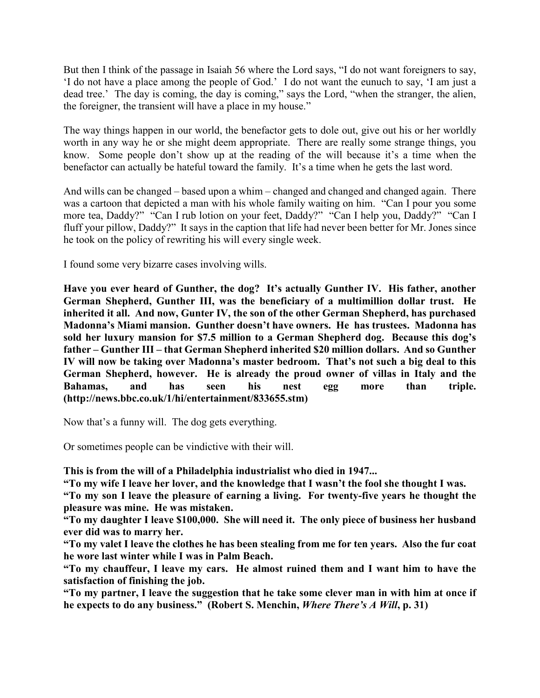But then I think of the passage in Isaiah 56 where the Lord says, "I do not want foreigners to say, 'I do not have a place among the people of God.' I do not want the eunuch to say, 'I am just a dead tree.' The day is coming, the day is coming," says the Lord, "when the stranger, the alien, the foreigner, the transient will have a place in my house."

The way things happen in our world, the benefactor gets to dole out, give out his or her worldly worth in any way he or she might deem appropriate. There are really some strange things, you know. Some people don't show up at the reading of the will because it's a time when the benefactor can actually be hateful toward the family. It's a time when he gets the last word.

And wills can be changed – based upon a whim – changed and changed and changed again. There was a cartoon that depicted a man with his whole family waiting on him. "Can I pour you some more tea, Daddy?" "Can I rub lotion on your feet, Daddy?" "Can I help you, Daddy?" "Can I fluff your pillow, Daddy?" It says in the caption that life had never been better for Mr. Jones since he took on the policy of rewriting his will every single week.

I found some very bizarre cases involving wills.

**Have you ever heard of Gunther, the dog? It's actually Gunther IV. His father, another German Shepherd, Gunther III, was the beneficiary of a multimillion dollar trust. He inherited it all. And now, Gunter IV, the son of the other German Shepherd, has purchased Madonna's Miami mansion. Gunther doesn't have owners. He has trustees. Madonna has sold her luxury mansion for \$7.5 million to a German Shepherd dog. Because this dog's father – Gunther III – that German Shepherd inherited \$20 million dollars. And so Gunther IV will now be taking over Madonna's master bedroom. That's not such a big deal to this German Shepherd, however. He is already the proud owner of villas in Italy and the Bahamas, and has seen his nest egg more than triple. (http://news.bbc.co.uk/1/hi/entertainment/833655.stm)**

Now that's a funny will. The dog gets everything.

Or sometimes people can be vindictive with their will.

**This is from the will of a Philadelphia industrialist who died in 1947...**

**"To my wife I leave her lover, and the knowledge that I wasn't the fool she thought I was.**

**"To my son I leave the pleasure of earning a living. For twenty-five years he thought the pleasure was mine. He was mistaken.**

**"To my daughter I leave \$100,000. She will need it. The only piece of business her husband ever did was to marry her.**

**"To my valet I leave the clothes he has been stealing from me for ten years. Also the fur coat he wore last winter while I was in Palm Beach.**

**"To my chauffeur, I leave my cars. He almost ruined them and I want him to have the satisfaction of finishing the job.**

**"To my partner, I leave the suggestion that he take some clever man in with him at once if he expects to do any business." (Robert S. Menchin,** *Where There's A Will***, p. 31)**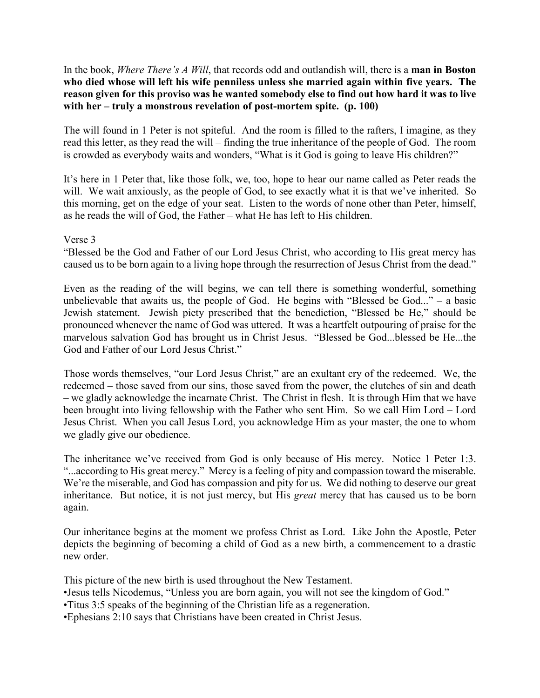In the book, *Where There's A Will*, that records odd and outlandish will, there is a **man in Boston who died whose will left his wife penniless unless she married again within five years. The reason given for this proviso was he wanted somebody else to find out how hard it was to live with her – truly a monstrous revelation of post-mortem spite. (p. 100)**

The will found in 1 Peter is not spiteful. And the room is filled to the rafters, I imagine, as they read this letter, as they read the will – finding the true inheritance of the people of God. The room is crowded as everybody waits and wonders, "What is it God is going to leave His children?"

It's here in 1 Peter that, like those folk, we, too, hope to hear our name called as Peter reads the will. We wait anxiously, as the people of God, to see exactly what it is that we've inherited. So this morning, get on the edge of your seat. Listen to the words of none other than Peter, himself, as he reads the will of God, the Father – what He has left to His children.

### Verse 3

"Blessed be the God and Father of our Lord Jesus Christ, who according to His great mercy has caused us to be born again to a living hope through the resurrection of Jesus Christ from the dead."

Even as the reading of the will begins, we can tell there is something wonderful, something unbelievable that awaits us, the people of God. He begins with "Blessed be God..." – a basic Jewish statement. Jewish piety prescribed that the benediction, "Blessed be He," should be pronounced whenever the name of God was uttered. It was a heartfelt outpouring of praise for the marvelous salvation God has brought us in Christ Jesus. "Blessed be God...blessed be He...the God and Father of our Lord Jesus Christ."

Those words themselves, "our Lord Jesus Christ," are an exultant cry of the redeemed. We, the redeemed – those saved from our sins, those saved from the power, the clutches of sin and death – we gladly acknowledge the incarnate Christ. The Christ in flesh. It is through Him that we have been brought into living fellowship with the Father who sent Him. So we call Him Lord – Lord Jesus Christ. When you call Jesus Lord, you acknowledge Him as your master, the one to whom we gladly give our obedience.

The inheritance we've received from God is only because of His mercy. Notice 1 Peter 1:3. "...according to His great mercy." Mercy is a feeling of pity and compassion toward the miserable. We're the miserable, and God has compassion and pity for us. We did nothing to deserve our great inheritance. But notice, it is not just mercy, but His *great* mercy that has caused us to be born again.

Our inheritance begins at the moment we profess Christ as Lord. Like John the Apostle, Peter depicts the beginning of becoming a child of God as a new birth, a commencement to a drastic new order.

This picture of the new birth is used throughout the New Testament.

- •Jesus tells Nicodemus, "Unless you are born again, you will not see the kingdom of God."
- •Titus 3:5 speaks of the beginning of the Christian life as a regeneration.
- •Ephesians 2:10 says that Christians have been created in Christ Jesus.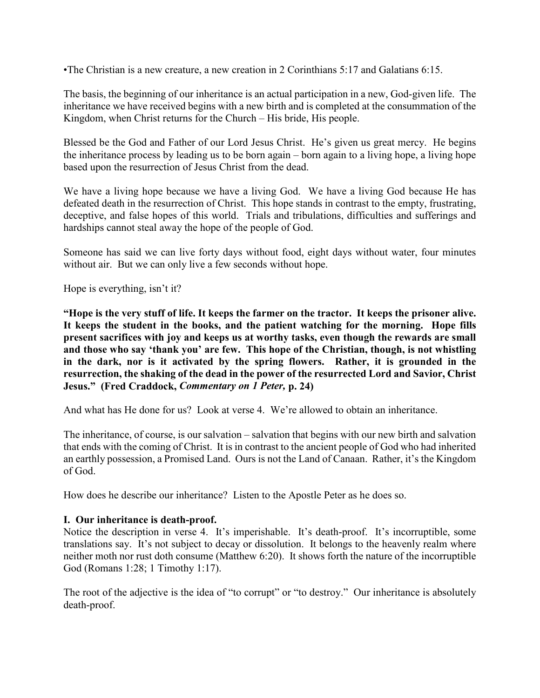•The Christian is a new creature, a new creation in 2 Corinthians 5:17 and Galatians 6:15.

The basis, the beginning of our inheritance is an actual participation in a new, God-given life. The inheritance we have received begins with a new birth and is completed at the consummation of the Kingdom, when Christ returns for the Church – His bride, His people.

Blessed be the God and Father of our Lord Jesus Christ. He's given us great mercy. He begins the inheritance process by leading us to be born again – born again to a living hope, a living hope based upon the resurrection of Jesus Christ from the dead.

We have a living hope because we have a living God. We have a living God because He has defeated death in the resurrection of Christ. This hope stands in contrast to the empty, frustrating, deceptive, and false hopes of this world. Trials and tribulations, difficulties and sufferings and hardships cannot steal away the hope of the people of God.

Someone has said we can live forty days without food, eight days without water, four minutes without air. But we can only live a few seconds without hope.

Hope is everything, isn't it?

**"Hope is the very stuff of life. It keeps the farmer on the tractor. It keeps the prisoner alive. It keeps the student in the books, and the patient watching for the morning. Hope fills present sacrifices with joy and keeps us at worthy tasks, even though the rewards are small and those who say 'thank you' are few. This hope of the Christian, though, is not whistling in the dark, nor is it activated by the spring flowers. Rather, it is grounded in the resurrection, the shaking of the dead in the power of the resurrected Lord and Savior, Christ Jesus." (Fred Craddock,** *Commentary on 1 Peter,* **p. 24)**

And what has He done for us? Look at verse 4. We're allowed to obtain an inheritance.

The inheritance, of course, is our salvation – salvation that begins with our new birth and salvation that ends with the coming of Christ. It is in contrast to the ancient people of God who had inherited an earthly possession, a Promised Land. Ours is not the Land of Canaan. Rather, it's the Kingdom of God.

How does he describe our inheritance? Listen to the Apostle Peter as he does so.

### **I. Our inheritance is death-proof.**

Notice the description in verse 4. It's imperishable. It's death-proof. It's incorruptible, some translations say. It's not subject to decay or dissolution. It belongs to the heavenly realm where neither moth nor rust doth consume (Matthew 6:20). It shows forth the nature of the incorruptible God (Romans 1:28; 1 Timothy 1:17).

The root of the adjective is the idea of "to corrupt" or "to destroy." Our inheritance is absolutely death-proof.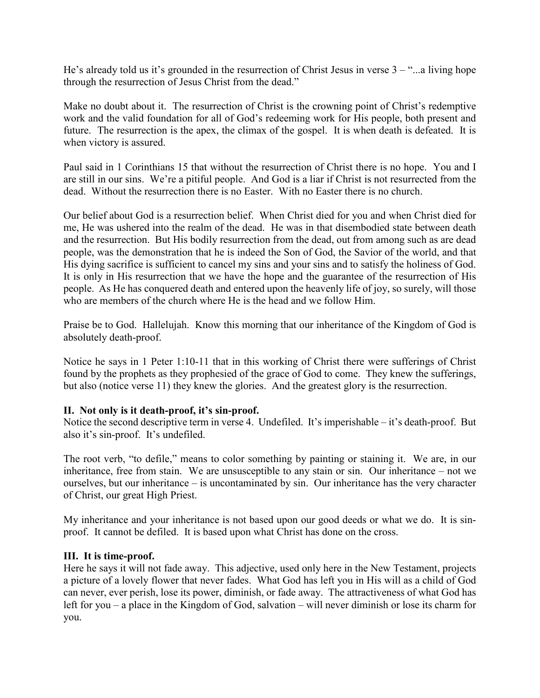He's already told us it's grounded in the resurrection of Christ Jesus in verse 3 – "...a living hope through the resurrection of Jesus Christ from the dead."

Make no doubt about it. The resurrection of Christ is the crowning point of Christ's redemptive work and the valid foundation for all of God's redeeming work for His people, both present and future. The resurrection is the apex, the climax of the gospel. It is when death is defeated. It is when victory is assured.

Paul said in 1 Corinthians 15 that without the resurrection of Christ there is no hope. You and I are still in our sins. We're a pitiful people. And God is a liar if Christ is not resurrected from the dead. Without the resurrection there is no Easter. With no Easter there is no church.

Our belief about God is a resurrection belief. When Christ died for you and when Christ died for me, He was ushered into the realm of the dead. He was in that disembodied state between death and the resurrection. But His bodily resurrection from the dead, out from among such as are dead people, was the demonstration that he is indeed the Son of God, the Savior of the world, and that His dying sacrifice is sufficient to cancel my sins and your sins and to satisfy the holiness of God. It is only in His resurrection that we have the hope and the guarantee of the resurrection of His people. As He has conquered death and entered upon the heavenly life of joy, so surely, will those who are members of the church where He is the head and we follow Him.

Praise be to God. Hallelujah. Know this morning that our inheritance of the Kingdom of God is absolutely death-proof.

Notice he says in 1 Peter 1:10-11 that in this working of Christ there were sufferings of Christ found by the prophets as they prophesied of the grace of God to come. They knew the sufferings, but also (notice verse 11) they knew the glories. And the greatest glory is the resurrection.

### **II. Not only is it death-proof, it's sin-proof.**

Notice the second descriptive term in verse 4. Undefiled. It's imperishable – it's death-proof. But also it's sin-proof. It's undefiled.

The root verb, "to defile," means to color something by painting or staining it. We are, in our inheritance, free from stain. We are unsusceptible to any stain or sin. Our inheritance – not we ourselves, but our inheritance – is uncontaminated by sin. Our inheritance has the very character of Christ, our great High Priest.

My inheritance and your inheritance is not based upon our good deeds or what we do. It is sinproof. It cannot be defiled. It is based upon what Christ has done on the cross.

### **III. It is time-proof.**

Here he says it will not fade away. This adjective, used only here in the New Testament, projects a picture of a lovely flower that never fades. What God has left you in His will as a child of God can never, ever perish, lose its power, diminish, or fade away. The attractiveness of what God has left for you – a place in the Kingdom of God, salvation – will never diminish or lose its charm for you.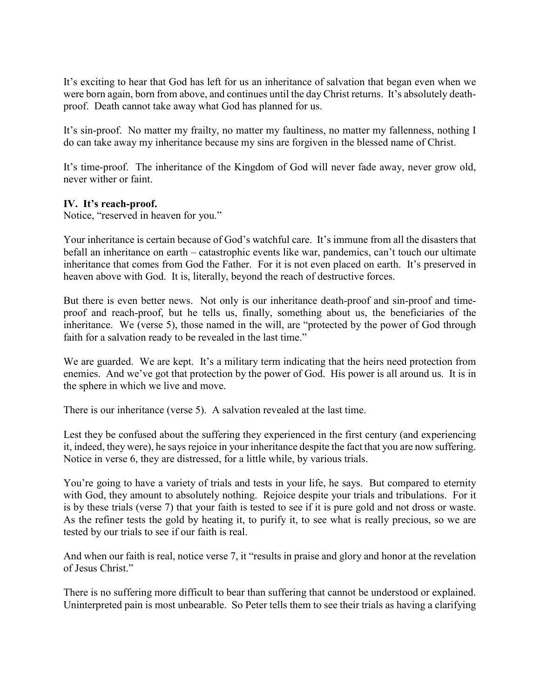It's exciting to hear that God has left for us an inheritance of salvation that began even when we were born again, born from above, and continues until the day Christ returns. It's absolutely deathproof. Death cannot take away what God has planned for us.

It's sin-proof. No matter my frailty, no matter my faultiness, no matter my fallenness, nothing I do can take away my inheritance because my sins are forgiven in the blessed name of Christ.

It's time-proof. The inheritance of the Kingdom of God will never fade away, never grow old, never wither or faint.

## **IV. It's reach-proof.**

Notice, "reserved in heaven for you."

Your inheritance is certain because of God's watchful care. It's immune from all the disasters that befall an inheritance on earth – catastrophic events like war, pandemics, can't touch our ultimate inheritance that comes from God the Father. For it is not even placed on earth. It's preserved in heaven above with God. It is, literally, beyond the reach of destructive forces.

But there is even better news. Not only is our inheritance death-proof and sin-proof and timeproof and reach-proof, but he tells us, finally, something about us, the beneficiaries of the inheritance. We (verse 5), those named in the will, are "protected by the power of God through faith for a salvation ready to be revealed in the last time."

We are guarded. We are kept. It's a military term indicating that the heirs need protection from enemies. And we've got that protection by the power of God. His power is all around us. It is in the sphere in which we live and move.

There is our inheritance (verse 5). A salvation revealed at the last time.

Lest they be confused about the suffering they experienced in the first century (and experiencing it, indeed, they were), he says rejoice in your inheritance despite the fact that you are now suffering. Notice in verse 6, they are distressed, for a little while, by various trials.

You're going to have a variety of trials and tests in your life, he says. But compared to eternity with God, they amount to absolutely nothing. Rejoice despite your trials and tribulations. For it is by these trials (verse 7) that your faith is tested to see if it is pure gold and not dross or waste. As the refiner tests the gold by heating it, to purify it, to see what is really precious, so we are tested by our trials to see if our faith is real.

And when our faith is real, notice verse 7, it "results in praise and glory and honor at the revelation of Jesus Christ."

There is no suffering more difficult to bear than suffering that cannot be understood or explained. Uninterpreted pain is most unbearable. So Peter tells them to see their trials as having a clarifying